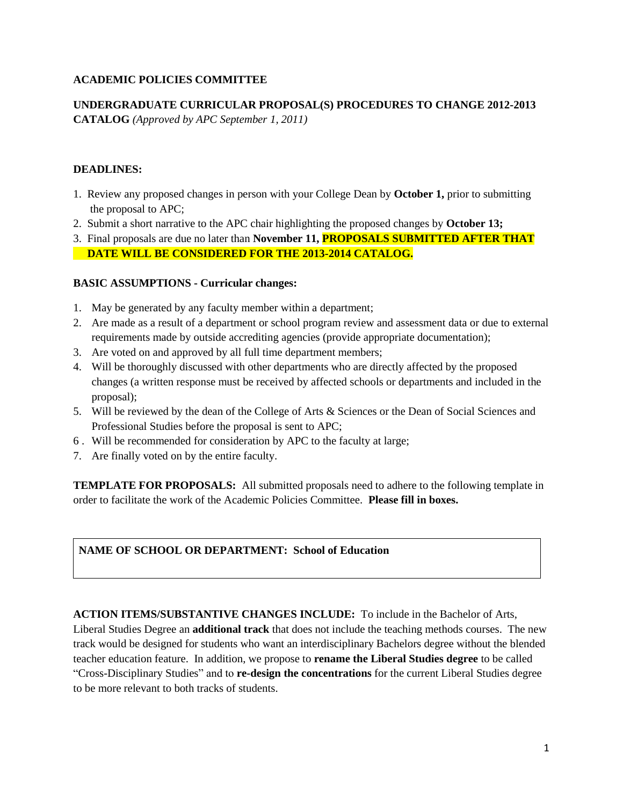# **ACADEMIC POLICIES COMMITTEE**

**UNDERGRADUATE CURRICULAR PROPOSAL(S) PROCEDURES TO CHANGE 2012-2013 CATALOG** *(Approved by APC September 1, 2011)*

### **DEADLINES:**

- 1. Review any proposed changes in person with your College Dean by **October 1,** prior to submitting the proposal to APC;
- 2. Submit a short narrative to the APC chair highlighting the proposed changes by **October 13;**
- 3. Final proposals are due no later than **November 11, PROPOSALS SUBMITTED AFTER THAT DATE WILL BE CONSIDERED FOR THE 2013-2014 CATALOG.**

### **BASIC ASSUMPTIONS - Curricular changes:**

- 1. May be generated by any faculty member within a department;
- 2. Are made as a result of a department or school program review and assessment data or due to external requirements made by outside accrediting agencies (provide appropriate documentation);
- 3. Are voted on and approved by all full time department members;
- 4. Will be thoroughly discussed with other departments who are directly affected by the proposed changes (a written response must be received by affected schools or departments and included in the proposal);
- 5. Will be reviewed by the dean of the College of Arts & Sciences or the Dean of Social Sciences and Professional Studies before the proposal is sent to APC;
- 6 . Will be recommended for consideration by APC to the faculty at large;
- 7. Are finally voted on by the entire faculty.

**TEMPLATE FOR PROPOSALS:** All submitted proposals need to adhere to the following template in order to facilitate the work of the Academic Policies Committee. **Please fill in boxes.** 

# **NAME OF SCHOOL OR DEPARTMENT: School of Education**

**ACTION ITEMS/SUBSTANTIVE CHANGES INCLUDE:** To include in the Bachelor of Arts,

Liberal Studies Degree an **additional track** that does not include the teaching methods courses. The new track would be designed for students who want an interdisciplinary Bachelors degree without the blended teacher education feature. In addition, we propose to **rename the Liberal Studies degree** to be called "Cross-Disciplinary Studies" and to **re-design the concentrations** for the current Liberal Studies degree to be more relevant to both tracks of students.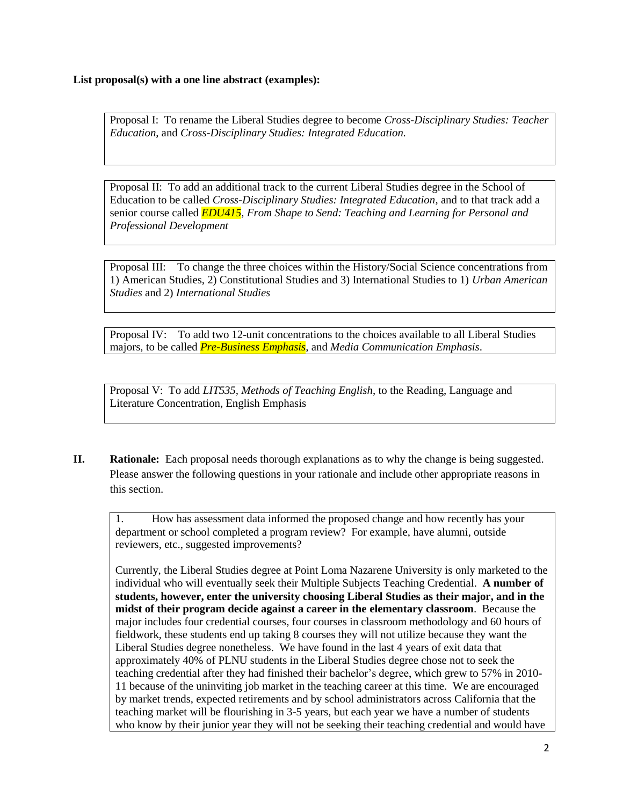Proposal I: To rename the Liberal Studies degree to become *Cross-Disciplinary Studies: Teacher Education*, and *Cross-Disciplinary Studies: Integrated Education.*

Proposal II: To add an additional track to the current Liberal Studies degree in the School of Education to be called *Cross-Disciplinary Studies: Integrated Education*, and to that track add a senior course called *EDU415, From Shape to Send: Teaching and Learning for Personal and Professional Development*

Proposal III: To change the three choices within the History/Social Science concentrations from 1) American Studies, 2) Constitutional Studies and 3) International Studies to 1) *Urban American Studies* and 2) *International Studies*

Proposal IV: To add two 12-unit concentrations to the choices available to all Liberal Studies majors, to be called *Pre-Business Emphasis*, and *Media Communication Emphasis*.

Proposal V: To add *LIT535, Methods of Teaching English*, to the Reading, Language and Literature Concentration, English Emphasis

**II. Rationale:** Each proposal needs thorough explanations as to why the change is being suggested. Please answer the following questions in your rationale and include other appropriate reasons in this section.

1. How has assessment data informed the proposed change and how recently has your department or school completed a program review? For example, have alumni, outside reviewers, etc., suggested improvements?

Currently, the Liberal Studies degree at Point Loma Nazarene University is only marketed to the individual who will eventually seek their Multiple Subjects Teaching Credential. **A number of students, however, enter the university choosing Liberal Studies as their major, and in the midst of their program decide against a career in the elementary classroom**. Because the major includes four credential courses, four courses in classroom methodology and 60 hours of fieldwork, these students end up taking 8 courses they will not utilize because they want the Liberal Studies degree nonetheless. We have found in the last 4 years of exit data that approximately 40% of PLNU students in the Liberal Studies degree chose not to seek the teaching credential after they had finished their bachelor's degree, which grew to 57% in 2010- 11 because of the uninviting job market in the teaching career at this time. We are encouraged by market trends, expected retirements and by school administrators across California that the teaching market will be flourishing in 3-5 years, but each year we have a number of students who know by their junior year they will not be seeking their teaching credential and would have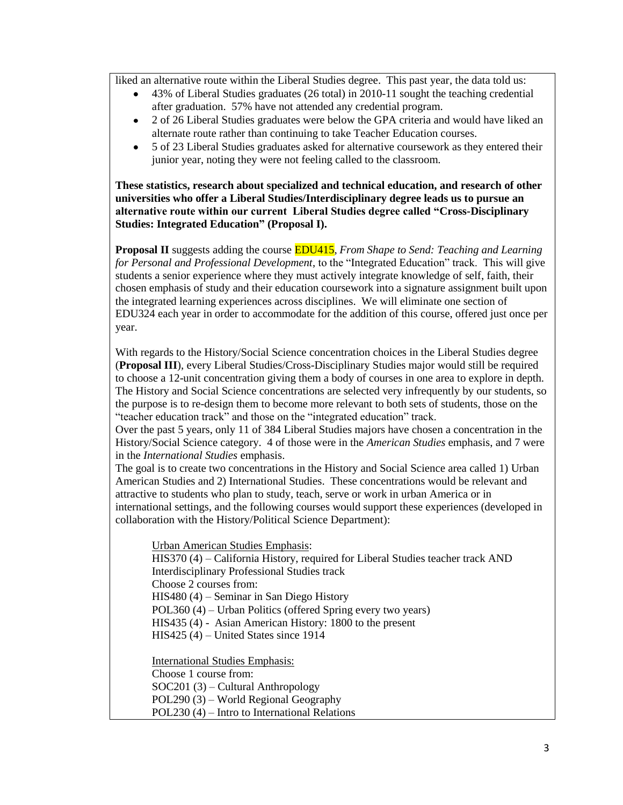liked an alternative route within the Liberal Studies degree. This past year, the data told us:

- 43% of Liberal Studies graduates (26 total) in 2010-11 sought the teaching credential after graduation. 57% have not attended any credential program.
- 2 of 26 Liberal Studies graduates were below the GPA criteria and would have liked an alternate route rather than continuing to take Teacher Education courses.
- 5 of 23 Liberal Studies graduates asked for alternative coursework as they entered their junior year, noting they were not feeling called to the classroom.

**These statistics, research about specialized and technical education, and research of other universities who offer a Liberal Studies/Interdisciplinary degree leads us to pursue an alternative route within our current Liberal Studies degree called "Cross-Disciplinary Studies: Integrated Education" (Proposal I).**

**Proposal II** suggests adding the course EDU415, *From Shape to Send: Teaching and Learning for Personal and Professional Development*, to the "Integrated Education" track. This will give students a senior experience where they must actively integrate knowledge of self, faith, their chosen emphasis of study and their education coursework into a signature assignment built upon the integrated learning experiences across disciplines. We will eliminate one section of EDU324 each year in order to accommodate for the addition of this course, offered just once per year.

With regards to the History/Social Science concentration choices in the Liberal Studies degree (**Proposal III**), every Liberal Studies/Cross-Disciplinary Studies major would still be required to choose a 12-unit concentration giving them a body of courses in one area to explore in depth. The History and Social Science concentrations are selected very infrequently by our students, so the purpose is to re-design them to become more relevant to both sets of students, those on the "teacher education track" and those on the "integrated education" track.

Over the past 5 years, only 11 of 384 Liberal Studies majors have chosen a concentration in the History/Social Science category. 4 of those were in the *American Studies* emphasis, and 7 were in the *International Studies* emphasis.

The goal is to create two concentrations in the History and Social Science area called 1) Urban American Studies and 2) International Studies. These concentrations would be relevant and attractive to students who plan to study, teach, serve or work in urban America or in international settings, and the following courses would support these experiences (developed in collaboration with the History/Political Science Department):

Urban American Studies Emphasis:

HIS370 (4) – California History, required for Liberal Studies teacher track AND Interdisciplinary Professional Studies track Choose 2 courses from: HIS480 (4) – Seminar in San Diego History POL360 (4) – Urban Politics (offered Spring every two years) HIS435 (4) - Asian American History: 1800 to the present HIS425 (4) – United States since 1914

International Studies Emphasis: Choose 1 course from: SOC201 (3) – Cultural Anthropology POL290 (3) – World Regional Geography POL230 (4) – Intro to International Relations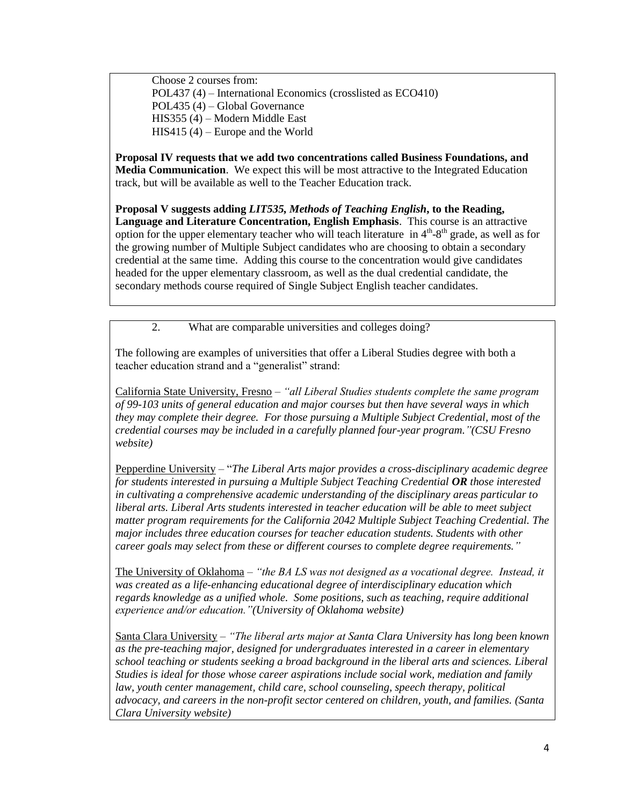Choose 2 courses from: POL437 (4) – International Economics (crosslisted as ECO410) POL435 (4) – Global Governance HIS355 (4) – Modern Middle East HIS415 (4) – Europe and the World

**Proposal IV requests that we add two concentrations called Business Foundations, and Media Communication**. We expect this will be most attractive to the Integrated Education track, but will be available as well to the Teacher Education track.

**Proposal V suggests adding** *LIT535, Methods of Teaching English***, to the Reading, Language and Literature Concentration, English Emphasis**. This course is an attractive option for the upper elementary teacher who will teach literature in  $4<sup>th</sup>$ -8<sup>th</sup> grade, as well as for the growing number of Multiple Subject candidates who are choosing to obtain a secondary credential at the same time. Adding this course to the concentration would give candidates headed for the upper elementary classroom, as well as the dual credential candidate, the secondary methods course required of Single Subject English teacher candidates.

2. What are comparable universities and colleges doing?

The following are examples of universities that offer a Liberal Studies degree with both a teacher education strand and a "generalist" strand:

California State University, Fresno – *"all Liberal Studies students complete the same program of 99-103 units of general education and major courses but then have several ways in which they may complete their degree. For those pursuing a Multiple Subject Credential, most of the credential courses may be included in a carefully planned four-year program."(CSU Fresno website)*

Pepperdine University – "*The Liberal Arts major provides a cross-disciplinary academic degree for students interested in pursuing a Multiple Subject Teaching Credential OR those interested in cultivating a comprehensive academic understanding of the disciplinary areas particular to liberal arts. Liberal Arts students interested in teacher education will be able to meet subject matter program requirements for the California 2042 Multiple Subject Teaching Credential. The major includes three education courses for teacher education students. Students with other career goals may select from these or different courses to complete degree requirements."*

The University of Oklahoma – *"the BA LS was not designed as a vocational degree. Instead, it was created as a life-enhancing educational degree of interdisciplinary education which regards knowledge as a unified whole. Some positions, such as teaching, require additional experience and/or education."(University of Oklahoma website)*

Santa Clara University – *"The liberal arts major at Santa Clara University has long been known as the pre-teaching major, designed for undergraduates interested in a career in elementary school teaching or students seeking a broad background in the liberal arts and sciences. Liberal Studies is ideal for those whose career aspirations include social work, mediation and family law, youth center management, child care, school counseling, speech therapy, political advocacy, and careers in the non-profit sector centered on children, youth, and families. (Santa Clara University website)*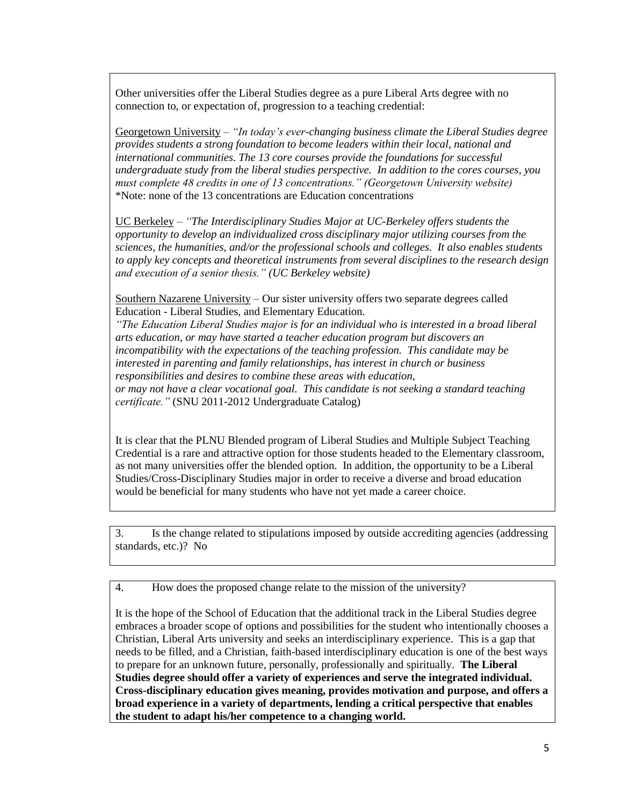Other universities offer the Liberal Studies degree as a pure Liberal Arts degree with no connection to, or expectation of, progression to a teaching credential:

Georgetown University – *"In today's ever-changing business climate the Liberal Studies degree provides students a strong foundation to become leaders within their local, national and international communities. The 13 core courses provide the foundations for successful undergraduate study from the liberal studies perspective. In addition to the cores courses, you must complete 48 credits in one of 13 concentrations." (Georgetown University website)*  \*Note: none of the 13 concentrations are Education concentrations

UC Berkeley – *"The Interdisciplinary Studies Major at UC-Berkeley offers students the opportunity to develop an individualized cross disciplinary major utilizing courses from the sciences, the humanities, and/or the professional schools and colleges. It also enables students to apply key concepts and theoretical instruments from several disciplines to the research design and execution of a senior thesis." (UC Berkeley website)*

Southern Nazarene University – Our sister university offers two separate degrees called Education - Liberal Studies, and Elementary Education.

*"The Education Liberal Studies major is for an individual who is interested in a broad liberal arts education, or may have started a teacher education program but discovers an incompatibility with the expectations of the teaching profession. This candidate may be interested in parenting and family relationships, has interest in church or business responsibilities and desires to combine these areas with education, or may not have a clear vocational goal. This candidate is not seeking a standard teaching certificate."* (SNU 2011-2012 Undergraduate Catalog)

It is clear that the PLNU Blended program of Liberal Studies and Multiple Subject Teaching Credential is a rare and attractive option for those students headed to the Elementary classroom, as not many universities offer the blended option. In addition, the opportunity to be a Liberal Studies/Cross-Disciplinary Studies major in order to receive a diverse and broad education would be beneficial for many students who have not yet made a career choice.

3. Is the change related to stipulations imposed by outside accrediting agencies (addressing standards, etc.)? No

4. How does the proposed change relate to the mission of the university?

It is the hope of the School of Education that the additional track in the Liberal Studies degree embraces a broader scope of options and possibilities for the student who intentionally chooses a Christian, Liberal Arts university and seeks an interdisciplinary experience. This is a gap that needs to be filled, and a Christian, faith-based interdisciplinary education is one of the best ways to prepare for an unknown future, personally, professionally and spiritually. **The Liberal Studies degree should offer a variety of experiences and serve the integrated individual. Cross-disciplinary education gives meaning, provides motivation and purpose, and offers a broad experience in a variety of departments, lending a critical perspective that enables the student to adapt his/her competence to a changing world.**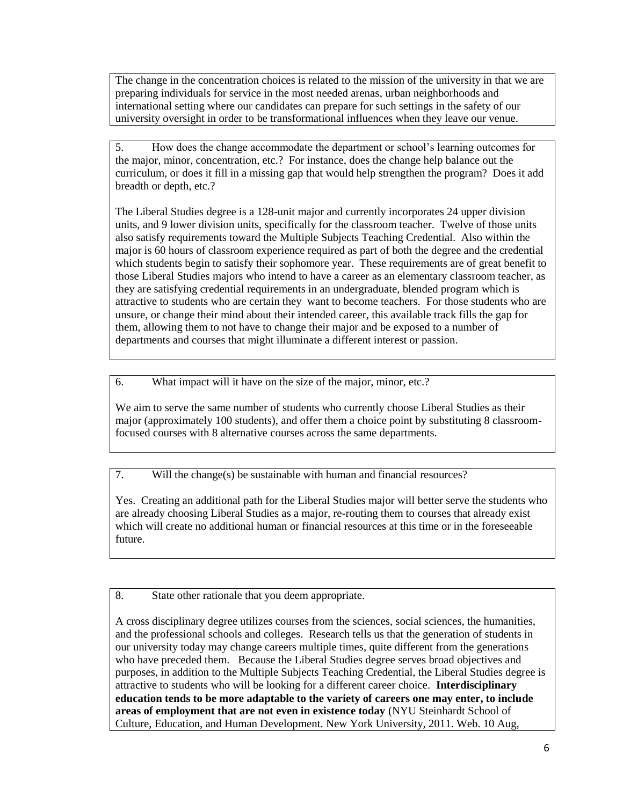The change in the concentration choices is related to the mission of the university in that we are preparing individuals for service in the most needed arenas, urban neighborhoods and international setting where our candidates can prepare for such settings in the safety of our university oversight in order to be transformational influences when they leave our venue.

5. How does the change accommodate the department or school's learning outcomes for the major, minor, concentration, etc.? For instance, does the change help balance out the curriculum, or does it fill in a missing gap that would help strengthen the program? Does it add breadth or depth, etc.?

The Liberal Studies degree is a 128-unit major and currently incorporates 24 upper division units, and 9 lower division units, specifically for the classroom teacher. Twelve of those units also satisfy requirements toward the Multiple Subjects Teaching Credential. Also within the major is 60 hours of classroom experience required as part of both the degree and the credential which students begin to satisfy their sophomore year. These requirements are of great benefit to those Liberal Studies majors who intend to have a career as an elementary classroom teacher, as they are satisfying credential requirements in an undergraduate, blended program which is attractive to students who are certain they want to become teachers. For those students who are unsure, or change their mind about their intended career, this available track fills the gap for them, allowing them to not have to change their major and be exposed to a number of departments and courses that might illuminate a different interest or passion.

6. What impact will it have on the size of the major, minor, etc.?

We aim to serve the same number of students who currently choose Liberal Studies as their major (approximately 100 students), and offer them a choice point by substituting 8 classroomfocused courses with 8 alternative courses across the same departments.

7. Will the change(s) be sustainable with human and financial resources?

Yes. Creating an additional path for the Liberal Studies major will better serve the students who are already choosing Liberal Studies as a major, re-routing them to courses that already exist which will create no additional human or financial resources at this time or in the foreseeable future.

8. State other rationale that you deem appropriate.

A cross disciplinary degree utilizes courses from the sciences, social sciences, the humanities, and the professional schools and colleges. Research tells us that the generation of students in our university today may change careers multiple times, quite different from the generations who have preceded them. Because the Liberal Studies degree serves broad objectives and purposes, in addition to the Multiple Subjects Teaching Credential, the Liberal Studies degree is attractive to students who will be looking for a different career choice. **Interdisciplinary education tends to be more adaptable to the variety of careers one may enter, to include areas of employment that are not even in existence today** (NYU Steinhardt School of Culture, Education, and Human Development. New York University, 2011. Web. 10 Aug,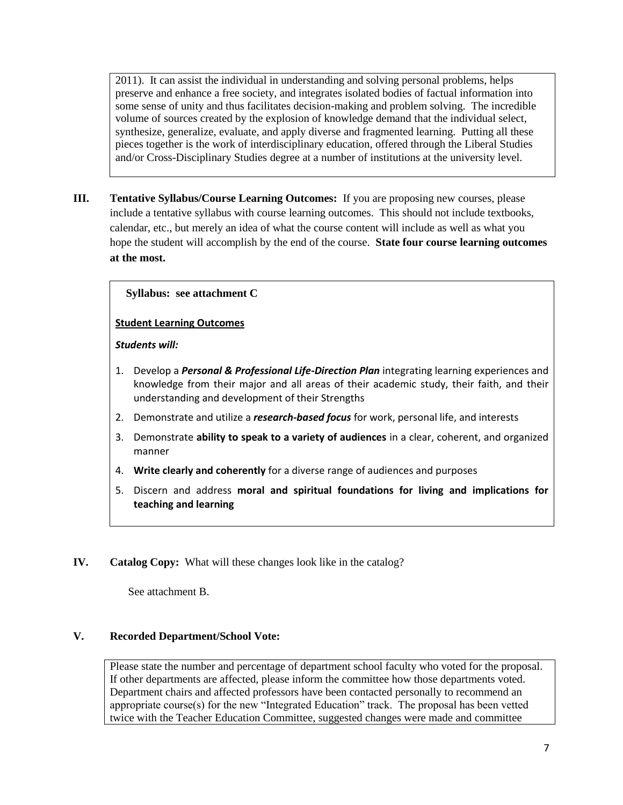2011). It can assist the individual in understanding and solving personal problems, helps preserve and enhance a free society, and integrates isolated bodies of factual information into some sense of unity and thus facilitates decision-making and problem solving. The incredible volume of sources created by the explosion of knowledge demand that the individual select, synthesize, generalize, evaluate, and apply diverse and fragmented learning. Putting all these pieces together is the work of interdisciplinary education, offered through the Liberal Studies and/or Cross-Disciplinary Studies degree at a number of institutions at the university level.

**III. Tentative Syllabus/Course Learning Outcomes:** If you are proposing new courses, please include a tentative syllabus with course learning outcomes. This should not include textbooks, calendar, etc., but merely an idea of what the course content will include as well as what you hope the student will accomplish by the end of the course. **State four course learning outcomes at the most.** 

# **Syllabus: see attachment C**

### **Student Learning Outcomes**

#### *Students will:*

- 1. Develop a *Personal & Professional Life-Direction Plan* integrating learning experiences and knowledge from their major and all areas of their academic study, their faith, and their understanding and development of their Strengths
- 2. Demonstrate and utilize a *research-based focus* for work, personal life, and interests
- 3. Demonstrate **ability to speak to a variety of audiences** in a clear, coherent, and organized manner
- 4. **Write clearly and coherently** for a diverse range of audiences and purposes
- 5. Discern and address **moral and spiritual foundations for living and implications for teaching and learning**
- **IV. Catalog Copy:** What will these changes look like in the catalog?

See attachment B.

# **V. Recorded Department/School Vote:**

Please state the number and percentage of department school faculty who voted for the proposal. If other departments are affected, please inform the committee how those departments voted. Department chairs and affected professors have been contacted personally to recommend an appropriate course(s) for the new "Integrated Education" track. The proposal has been vetted twice with the Teacher Education Committee, suggested changes were made and committee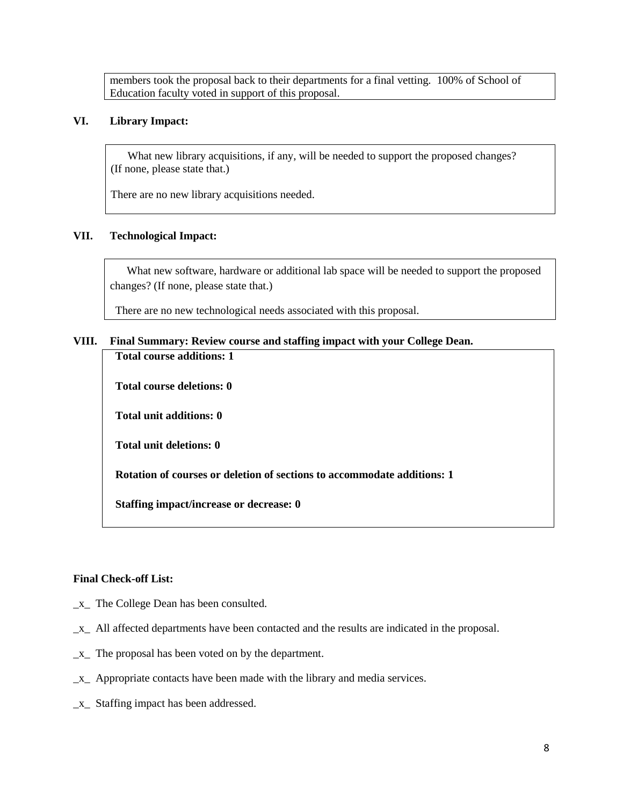members took the proposal back to their departments for a final vetting. 100% of School of Education faculty voted in support of this proposal.

### **VI. Library Impact:**

What new library acquisitions, if any, will be needed to support the proposed changes? (If none, please state that.)

There are no new library acquisitions needed.

# **VII. Technological Impact:**

 What new software, hardware or additional lab space will be needed to support the proposed changes? (If none, please state that.)

There are no new technological needs associated with this proposal.

### **VIII. Final Summary: Review course and staffing impact with your College Dean.**

**Total course additions: 1**

**Total course deletions: 0**

**Total unit additions: 0**

**Total unit deletions: 0**

**Rotation of courses or deletion of sections to accommodate additions: 1**

**Staffing impact/increase or decrease: 0**

## **Final Check-off List:**

- \_x\_ The College Dean has been consulted.
- \_x\_ All affected departments have been contacted and the results are indicated in the proposal.
- \_x\_ The proposal has been voted on by the department.
- \_x\_ Appropriate contacts have been made with the library and media services.
- \_x\_ Staffing impact has been addressed.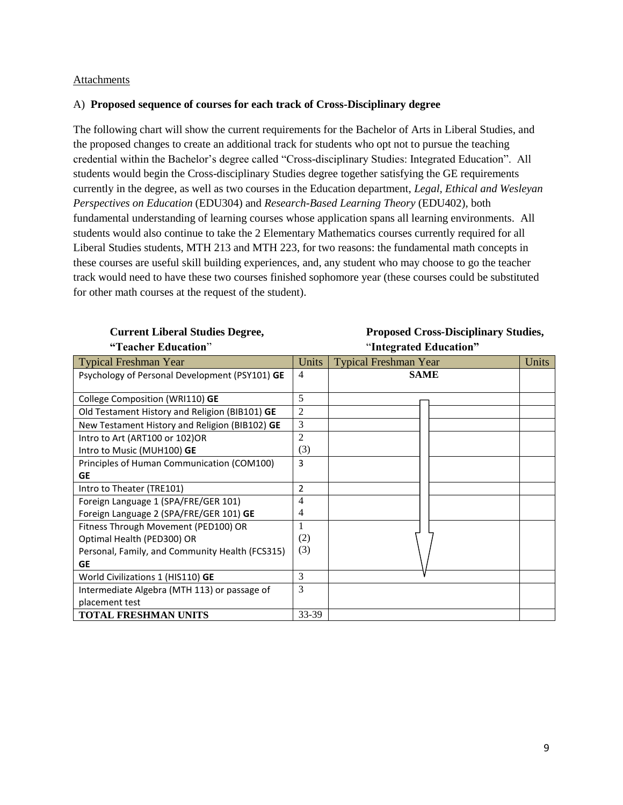#### Attachments

### A) **Proposed sequence of courses for each track of Cross-Disciplinary degree**

The following chart will show the current requirements for the Bachelor of Arts in Liberal Studies, and the proposed changes to create an additional track for students who opt not to pursue the teaching credential within the Bachelor's degree called "Cross-disciplinary Studies: Integrated Education". All students would begin the Cross-disciplinary Studies degree together satisfying the GE requirements currently in the degree, as well as two courses in the Education department, *Legal, Ethical and Wesleyan Perspectives on Education* (EDU304) and *Research-Based Learning Theory* (EDU402), both fundamental understanding of learning courses whose application spans all learning environments. All students would also continue to take the 2 Elementary Mathematics courses currently required for all Liberal Studies students, MTH 213 and MTH 223, for two reasons: the fundamental math concepts in these courses are useful skill building experiences, and, any student who may choose to go the teacher track would need to have these two courses finished sophomore year (these courses could be substituted for other math courses at the request of the student).

# **"Teacher Education**" "**Integrated Education"**

# **Current Liberal Studies Degree, Proposed Cross-Disciplinary Studies,**

| <b>Typical Freshman Year</b>                    | Units | <b>Typical Freshman Year</b> | Units |
|-------------------------------------------------|-------|------------------------------|-------|
| Psychology of Personal Development (PSY101) GE  | 4     | <b>SAME</b>                  |       |
|                                                 |       |                              |       |
| College Composition (WRI110) GE                 | 5     |                              |       |
| Old Testament History and Religion (BIB101) GE  | 2     |                              |       |
| New Testament History and Religion (BIB102) GE  | 3     |                              |       |
| Intro to Art (ART100 or 102)OR                  | 2     |                              |       |
| Intro to Music (MUH100) GE                      | (3)   |                              |       |
| Principles of Human Communication (COM100)      | 3     |                              |       |
| GE                                              |       |                              |       |
| Intro to Theater (TRE101)                       | 2     |                              |       |
| Foreign Language 1 (SPA/FRE/GER 101)            | 4     |                              |       |
| Foreign Language 2 (SPA/FRE/GER 101) GE         |       |                              |       |
| Fitness Through Movement (PED100) OR            |       |                              |       |
| Optimal Health (PED300) OR                      | (2)   |                              |       |
| Personal, Family, and Community Health (FCS315) | (3)   |                              |       |
| GE                                              |       |                              |       |
| World Civilizations 1 (HIS110) GE               | 3     |                              |       |
| Intermediate Algebra (MTH 113) or passage of    | 3     |                              |       |
| placement test                                  |       |                              |       |
| <b>TOTAL FRESHMAN UNITS</b>                     | 33-39 |                              |       |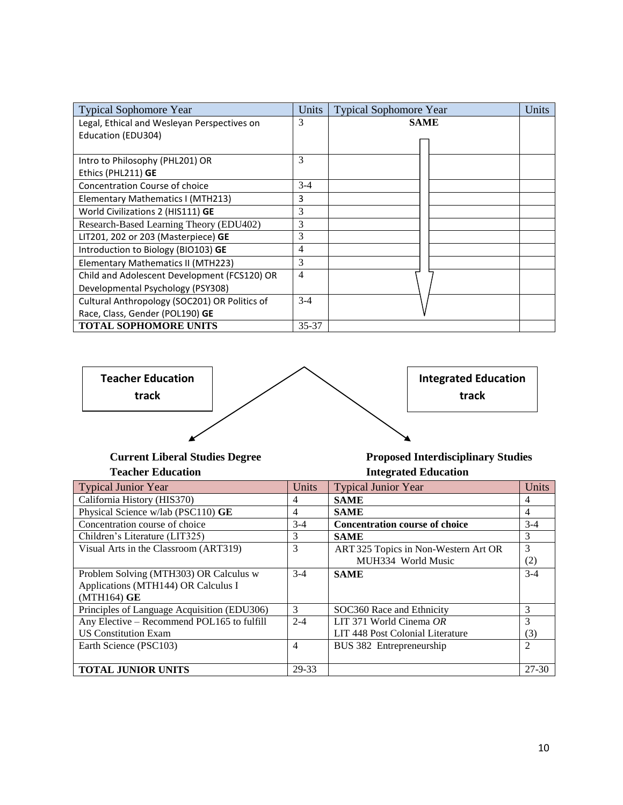| <b>Typical Sophomore Year</b>                 | Units | <b>Typical Sophomore Year</b> | Units |
|-----------------------------------------------|-------|-------------------------------|-------|
| Legal, Ethical and Wesleyan Perspectives on   | 3     | <b>SAME</b>                   |       |
| Education (EDU304)                            |       |                               |       |
|                                               |       |                               |       |
| Intro to Philosophy (PHL201) OR               | 3     |                               |       |
| Ethics (PHL211) GE                            |       |                               |       |
| Concentration Course of choice                | $3-4$ |                               |       |
| Elementary Mathematics I (MTH213)             | 3     |                               |       |
| World Civilizations 2 (HIS111) GE             | 3     |                               |       |
| Research-Based Learning Theory (EDU402)       | 3     |                               |       |
| LIT201, 202 or 203 (Masterpiece) GE           | 3     |                               |       |
| Introduction to Biology (BIO103) GE           | 4     |                               |       |
| Elementary Mathematics II (MTH223)            | 3     |                               |       |
| Child and Adolescent Development (FCS120) OR  | 4     |                               |       |
| Developmental Psychology (PSY308)             |       |                               |       |
| Cultural Anthropology (SOC201) OR Politics of | $3-4$ |                               |       |
| Race, Class, Gender (POL190) GE               |       |                               |       |
| <b>TOTAL SOPHOMORE UNITS</b>                  | 35-37 |                               |       |



**Teacher Education Integrated Education**

# **Current Liberal Studies Degree Proposed Interdisciplinary Studies**

| <b>Typical Junior Year</b>                  | Units   | <b>Typical Junior Year</b>            | Units          |
|---------------------------------------------|---------|---------------------------------------|----------------|
| California History (HIS370)                 | 4       | <b>SAME</b>                           | 4              |
| Physical Science w/lab (PSC110) GE          | 4       | <b>SAME</b>                           | 4              |
| Concentration course of choice              | $3-4$   | <b>Concentration course of choice</b> | $3-4$          |
| Children's Literature (LIT325)              | 3       | <b>SAME</b>                           | 3              |
| Visual Arts in the Classroom (ART319)       | 3       | ART 325 Topics in Non-Western Art OR  | 3              |
|                                             |         | MUH334 World Music                    | (2)            |
| Problem Solving (MTH303) OR Calculus w      | $3-4$   | <b>SAME</b>                           | $3-4$          |
| Applications (MTH144) OR Calculus I         |         |                                       |                |
| $(MTH164)$ GE                               |         |                                       |                |
| Principles of Language Acquisition (EDU306) | 3       | SOC360 Race and Ethnicity             | 3              |
| Any Elective - Recommend POL165 to fulfill  | $2 - 4$ | LIT 371 World Cinema OR               | 3              |
| <b>US Constitution Exam</b>                 |         | LIT 448 Post Colonial Literature      | (3)            |
| Earth Science (PSC103)                      | 4       | BUS 382 Entrepreneurship              | $\overline{2}$ |
|                                             |         |                                       |                |
| <b>TOTAL JUNIOR UNITS</b>                   | 29-33   |                                       | $27-30$        |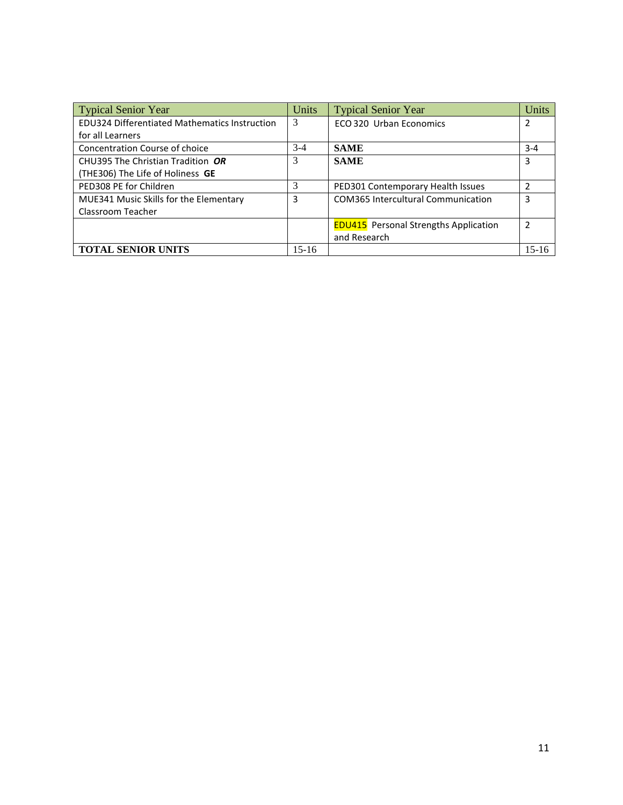| <b>Typical Senior Year</b>                           | Units | <b>Typical Senior Year</b>                   | Units   |
|------------------------------------------------------|-------|----------------------------------------------|---------|
| <b>EDU324 Differentiated Mathematics Instruction</b> | 3     | ECO 320 Urban Economics                      | 2       |
| for all Learners                                     |       |                                              |         |
| Concentration Course of choice                       | $3-4$ | <b>SAME</b>                                  | $3 - 4$ |
| CHU395 The Christian Tradition OR                    | 3     | <b>SAME</b>                                  | 3       |
| (THE306) The Life of Holiness GE                     |       |                                              |         |
| PED308 PE for Children                               | 3     | PED301 Contemporary Health Issues            | 2       |
| MUE341 Music Skills for the Elementary               | 3     | <b>COM365 Intercultural Communication</b>    | 3       |
| Classroom Teacher                                    |       |                                              |         |
|                                                      |       | <b>EDU415</b> Personal Strengths Application | 2       |
|                                                      |       | and Research                                 |         |
| <b>TOTAL SENIOR UNITS</b>                            | 15-16 |                                              | $15-16$ |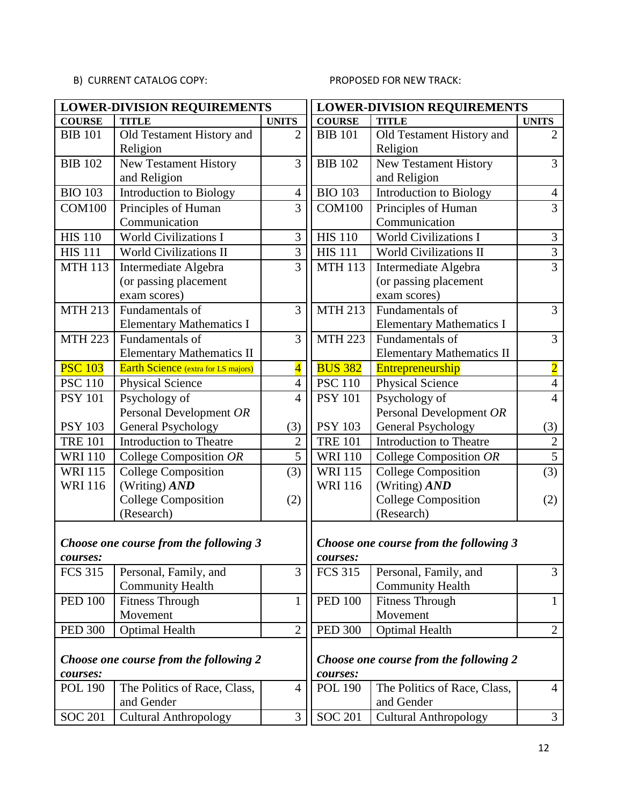# B) CURRENT CATALOG COPY:

# PROPOSED FOR NEW TRACK:

|                                                    | <b>LOWER-DIVISION REQUIREMENTS</b><br><b>LOWER-DIVISION REQUIREMENTS</b> |                         |                                        |                                        |                |  |
|----------------------------------------------------|--------------------------------------------------------------------------|-------------------------|----------------------------------------|----------------------------------------|----------------|--|
| <b>COURSE</b>                                      | <b>TITLE</b>                                                             | <b>UNITS</b>            | <b>COURSE</b>                          | <b>TITLE</b>                           | <b>UNITS</b>   |  |
| <b>BIB 101</b>                                     | Old Testament History and                                                | $\overline{2}$          | <b>BIB 101</b>                         | Old Testament History and              | $\overline{2}$ |  |
|                                                    | Religion                                                                 |                         |                                        | Religion                               |                |  |
| <b>BIB 102</b>                                     | <b>New Testament History</b>                                             | $\overline{3}$          | <b>BIB</b> 102                         | <b>New Testament History</b>           | 3              |  |
|                                                    | and Religion                                                             |                         |                                        | and Religion                           |                |  |
| <b>BIO 103</b>                                     | Introduction to Biology                                                  | $\overline{4}$          | <b>BIO 103</b>                         | Introduction to Biology                | $\overline{4}$ |  |
| <b>COM100</b>                                      | Principles of Human                                                      | 3                       | <b>COM100</b>                          | Principles of Human                    | 3              |  |
|                                                    | Communication                                                            |                         |                                        | Communication                          |                |  |
| <b>HIS 110</b>                                     | World Civilizations I                                                    | 3                       | <b>HIS 110</b>                         | World Civilizations I                  | 3              |  |
| <b>HIS 111</b>                                     | World Civilizations II                                                   | $\overline{3}$          | <b>HIS 111</b>                         | World Civilizations II                 | $\overline{3}$ |  |
| <b>MTH 113</b>                                     | Intermediate Algebra                                                     | $\overline{3}$          | <b>MTH 113</b>                         | Intermediate Algebra                   | $\overline{3}$ |  |
|                                                    | (or passing placement                                                    |                         |                                        | (or passing placement                  |                |  |
|                                                    | exam scores)                                                             |                         |                                        | exam scores)                           |                |  |
| <b>MTH 213</b>                                     | Fundamentals of                                                          | $\overline{3}$          | <b>MTH 213</b>                         | Fundamentals of                        | 3              |  |
|                                                    | <b>Elementary Mathematics I</b>                                          |                         |                                        | <b>Elementary Mathematics I</b>        |                |  |
| <b>MTH 223</b>                                     | Fundamentals of                                                          | 3                       | <b>MTH 223</b>                         | Fundamentals of                        | 3              |  |
|                                                    | <b>Elementary Mathematics II</b>                                         |                         |                                        | <b>Elementary Mathematics II</b>       |                |  |
| <b>PSC 103</b>                                     | Earth Science (extra for LS majors)                                      | $\overline{\mathbf{4}}$ | <b>BUS 382</b>                         | Entrepreneurship                       | $\overline{2}$ |  |
| <b>PSC 110</b>                                     | <b>Physical Science</b>                                                  | $\overline{4}$          | <b>PSC 110</b>                         | <b>Physical Science</b>                | $\overline{4}$ |  |
| <b>PSY 101</b>                                     | Psychology of                                                            | $\overline{4}$          | <b>PSY 101</b>                         | Psychology of                          | $\overline{4}$ |  |
|                                                    | Personal Development OR                                                  |                         |                                        | Personal Development OR                |                |  |
| <b>PSY 103</b>                                     | General Psychology                                                       | (3)                     | <b>PSY 103</b>                         | General Psychology                     | (3)            |  |
| <b>TRE 101</b>                                     | <b>Introduction to Theatre</b>                                           | $\overline{2}$          | <b>TRE 101</b>                         | Introduction to Theatre                | $\overline{2}$ |  |
| <b>WRI 110</b>                                     | College Composition OR                                                   | $\overline{5}$          | <b>WRI 110</b>                         | College Composition OR                 | $\overline{5}$ |  |
| <b>WRI115</b>                                      | <b>College Composition</b>                                               | (3)                     | <b>WRI115</b>                          | <b>College Composition</b>             | (3)            |  |
| <b>WRI116</b>                                      | (Writing) $AND$                                                          |                         | <b>WRI 116</b>                         | (Writing) $AND$                        |                |  |
|                                                    | <b>College Composition</b>                                               | (2)                     |                                        | <b>College Composition</b>             | (2)            |  |
|                                                    | (Research)                                                               |                         |                                        | (Research)                             |                |  |
|                                                    |                                                                          |                         |                                        |                                        |                |  |
|                                                    | Choose one course from the following 3                                   |                         | Choose one course from the following 3 |                                        |                |  |
| courses:                                           |                                                                          |                         | courses:                               |                                        |                |  |
| <b>FCS 315</b>                                     | Personal, Family, and                                                    | 3                       | <b>FCS 315</b>                         | Personal, Family, and                  | 3              |  |
|                                                    | <b>Community Health</b>                                                  |                         |                                        | <b>Community Health</b>                |                |  |
| <b>PED 100</b>                                     | <b>Fitness Through</b>                                                   | $\mathbf{1}$            | <b>PED 100</b>                         | <b>Fitness Through</b>                 | $\mathbf{1}$   |  |
|                                                    | Movement                                                                 |                         |                                        | Movement                               |                |  |
| <b>PED 300</b>                                     | <b>Optimal Health</b>                                                    | $\mathbf{2}$            | <b>PED 300</b>                         | <b>Optimal Health</b>                  | $\overline{2}$ |  |
|                                                    |                                                                          |                         |                                        |                                        |                |  |
| Choose one course from the following 2<br>courses: |                                                                          |                         | courses:                               | Choose one course from the following 2 |                |  |
| <b>POL 190</b>                                     | The Politics of Race, Class,                                             | $\overline{4}$          | <b>POL 190</b>                         | The Politics of Race, Class,           | $\overline{4}$ |  |
|                                                    | and Gender                                                               |                         |                                        | and Gender                             |                |  |
| <b>SOC 201</b>                                     | <b>Cultural Anthropology</b>                                             | 3                       | <b>SOC 201</b>                         | <b>Cultural Anthropology</b>           | $\overline{3}$ |  |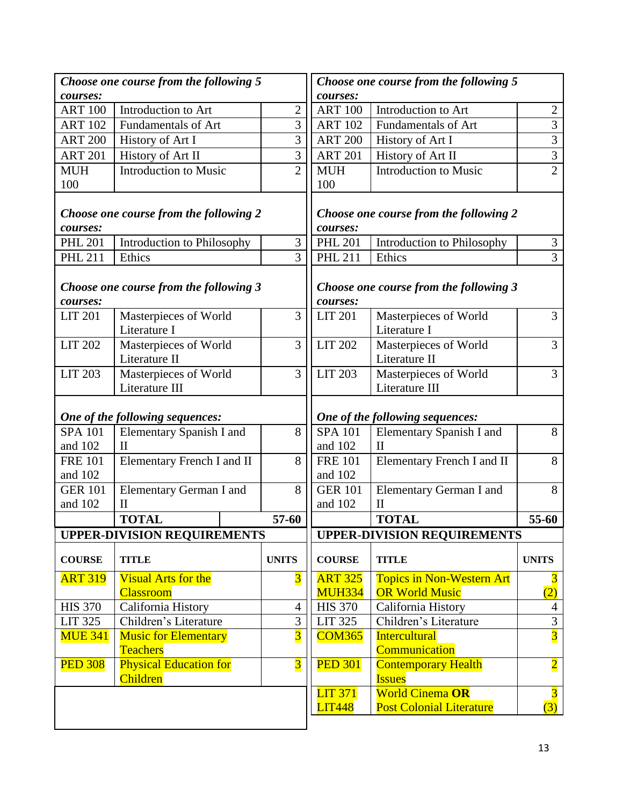| Choose one course from the following 5 |                                        |                         | Choose one course from the following 5 |                                        |                         |
|----------------------------------------|----------------------------------------|-------------------------|----------------------------------------|----------------------------------------|-------------------------|
| courses:                               |                                        |                         | courses:                               |                                        |                         |
| <b>ART 100</b>                         | Introduction to Art                    | $\overline{2}$          | <b>ART 100</b>                         | Introduction to Art                    | $\overline{2}$          |
| <b>ART 102</b>                         | <b>Fundamentals of Art</b>             | 3                       | <b>ART 102</b>                         | <b>Fundamentals of Art</b>             | 3                       |
| <b>ART 200</b>                         | History of Art I                       | 3                       | <b>ART 200</b>                         | History of Art I                       | 3                       |
| <b>ART 201</b>                         | History of Art II                      | 3                       | <b>ART 201</b>                         | History of Art II                      | 3                       |
| <b>MUH</b>                             | <b>Introduction to Music</b>           | $\overline{2}$          | <b>MUH</b>                             | <b>Introduction to Music</b>           | $\overline{2}$          |
| 100                                    |                                        |                         | 100                                    |                                        |                         |
| courses:                               | Choose one course from the following 2 |                         | courses:                               | Choose one course from the following 2 |                         |
| <b>PHL 201</b>                         | Introduction to Philosophy             | 3                       | <b>PHL 201</b>                         | Introduction to Philosophy             | $\mathfrak{Z}$          |
| <b>PHL 211</b>                         | Ethics                                 | 3                       | <b>PHL 211</b>                         | Ethics                                 | $\overline{3}$          |
| courses:                               | Choose one course from the following 3 |                         | courses:                               | Choose one course from the following 3 |                         |
| <b>LIT 201</b>                         | Masterpieces of World<br>Literature I  | 3                       | <b>LIT 201</b>                         | Masterpieces of World<br>Literature I  | 3                       |
| <b>LIT 202</b>                         | Masterpieces of World                  | 3                       | $LIT$ 202                              | Masterpieces of World                  | 3                       |
|                                        | Literature II                          |                         |                                        | Literature II                          |                         |
| <b>LIT 203</b>                         | Masterpieces of World                  | 3                       | <b>LIT 203</b>                         | Masterpieces of World                  | 3                       |
|                                        | Literature III                         |                         |                                        | Literature III                         |                         |
|                                        | One of the following sequences:        |                         |                                        | One of the following sequences:        |                         |
| <b>SPA 101</b>                         | Elementary Spanish I and               | 8                       | <b>SPA 101</b>                         | Elementary Spanish I and               | 8                       |
| and 102                                | $\mathbf{I}$                           |                         | and 102                                | $\mathbf{I}$                           |                         |
| <b>FRE 101</b>                         | Elementary French I and II             | 8                       | <b>FRE 101</b>                         | Elementary French I and II             | 8                       |
| and 102                                |                                        |                         | and 102                                |                                        |                         |
| <b>GER 101</b>                         | <b>Elementary German I and</b>         | 8                       | <b>GER 101</b>                         | Elementary German I and                | 8                       |
| and 102                                | $_{\rm II}$                            |                         | and 102                                | П                                      |                         |
|                                        | <b>TOTAL</b>                           | 57-60                   |                                        | <b>TOTAL</b>                           | 55-60                   |
|                                        | <b>UPPER-DIVISION REQUIREMENTS</b>     |                         |                                        | <b>UPPER-DIVISION REQUIREMENTS</b>     |                         |
| <b>COURSE</b>                          | <b>TITLE</b>                           | <b>UNITS</b>            | <b>COURSE</b>                          | <b>TITLE</b>                           | <b>UNITS</b>            |
| <b>ART 319</b>                         | <b>Visual Arts for the</b>             | $\overline{3}$          | <b>ART 325</b>                         | <b>Topics in Non-Western Art</b>       |                         |
|                                        | <b>Classroom</b>                       |                         | <b>MUH334</b>                          | <b>OR World Music</b>                  | (2)                     |
| <b>HIS 370</b>                         | California History                     | $\overline{4}$          | <b>HIS 370</b>                         | California History                     | $\overline{4}$          |
| <b>LIT 325</b>                         | Children's Literature                  | 3                       | <b>LIT 325</b>                         | Children's Literature                  | $\overline{3}$          |
| <b>MUE 341</b>                         | <b>Music for Elementary</b>            | $\overline{3}$          | <b>COM365</b>                          | <b>Intercultural</b>                   | $\overline{3}$          |
|                                        | <b>Teachers</b>                        |                         |                                        | Communication                          |                         |
| <b>PED 308</b>                         | <b>Physical Education for</b>          | $\overline{\mathbf{3}}$ | <b>PED 301</b>                         | <b>Contemporary Health</b>             | $\overline{\mathbf{2}}$ |
|                                        | <b>Children</b>                        |                         |                                        | <b>Issues</b>                          |                         |
|                                        |                                        |                         | <b>LIT 371</b>                         | <b>World Cinema OR</b>                 | $\overline{3}$          |
|                                        |                                        |                         | <b>LIT448</b>                          | <b>Post Colonial Literature</b>        | (3)                     |
|                                        |                                        |                         |                                        |                                        |                         |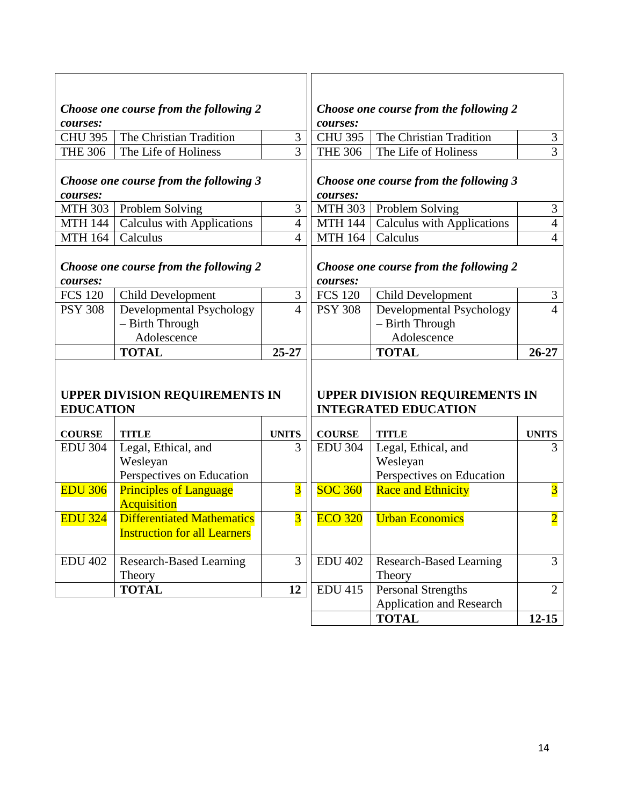|                  | Choose one course from the following 2 |                         |                | Choose one course from the following 2 |                         |
|------------------|----------------------------------------|-------------------------|----------------|----------------------------------------|-------------------------|
| courses:         |                                        |                         | courses:       |                                        |                         |
| <b>CHU 395</b>   | The Christian Tradition                | 3                       | <b>CHU 395</b> | The Christian Tradition                | $\mathfrak{Z}$          |
| <b>THE 306</b>   | The Life of Holiness                   | 3                       | <b>THE 306</b> | The Life of Holiness                   | $\overline{3}$          |
|                  |                                        |                         |                |                                        |                         |
|                  | Choose one course from the following 3 |                         |                | Choose one course from the following 3 |                         |
| courses:         |                                        |                         | courses:       |                                        |                         |
| MTH 303          | Problem Solving                        | 3                       | <b>MTH 303</b> | Problem Solving                        | 3                       |
| <b>MTH 144</b>   | <b>Calculus with Applications</b>      | $\overline{4}$          | <b>MTH 144</b> | <b>Calculus with Applications</b>      | $\overline{4}$          |
| <b>MTH 164</b>   | Calculus                               | $\overline{4}$          | <b>MTH 164</b> | Calculus                               | $\overline{4}$          |
|                  |                                        |                         |                |                                        |                         |
|                  | Choose one course from the following 2 |                         |                | Choose one course from the following 2 |                         |
| courses:         |                                        |                         | courses:       |                                        |                         |
| <b>FCS 120</b>   | <b>Child Development</b>               | 3                       | <b>FCS 120</b> | Child Development                      | 3                       |
| <b>PSY 308</b>   | Developmental Psychology               | $\overline{4}$          | <b>PSY 308</b> | Developmental Psychology               | 4                       |
|                  | - Birth Through                        |                         |                | - Birth Through                        |                         |
|                  | Adolescence                            |                         |                | Adolescence                            |                         |
|                  | <b>TOTAL</b>                           | 25-27                   |                | <b>TOTAL</b>                           | $26 - 27$               |
|                  |                                        |                         |                |                                        |                         |
|                  |                                        |                         |                |                                        |                         |
|                  | <b>UPPER DIVISION REQUIREMENTS IN</b>  |                         |                | <b>UPPER DIVISION REQUIREMENTS IN</b>  |                         |
| <b>EDUCATION</b> |                                        |                         |                | <b>INTEGRATED EDUCATION</b>            |                         |
| <b>COURSE</b>    | <b>TITLE</b>                           | <b>UNITS</b>            | <b>COURSE</b>  | <b>TITLE</b>                           | <b>UNITS</b>            |
| <b>EDU 304</b>   | Legal, Ethical, and                    | 3                       | <b>EDU 304</b> | Legal, Ethical, and                    | 3                       |
|                  | Wesleyan                               |                         |                | Wesleyan                               |                         |
|                  | Perspectives on Education              |                         |                | Perspectives on Education              |                         |
| <b>EDU 306</b>   | <b>Principles of Language</b>          | $\overline{\mathbf{3}}$ | <b>SOC 360</b> | <b>Race and Ethnicity</b>              | $\overline{\mathbf{3}}$ |
|                  | <b>Acquisition</b>                     |                         |                |                                        |                         |
| <b>EDU 324</b>   | <b>Differentiated Mathematics</b>      | $\overline{\mathbf{3}}$ | <b>ECO 320</b> | <b>Urban Economics</b>                 | $\overline{\mathbf{2}}$ |
|                  | <b>Instruction for all Learners</b>    |                         |                |                                        |                         |
|                  |                                        |                         |                |                                        |                         |
| <b>EDU 402</b>   | <b>Research-Based Learning</b>         | 3                       | <b>EDU 402</b> | Research-Based Learning                | 3                       |
|                  | Theory                                 |                         |                | Theory                                 |                         |
|                  | <b>TOTAL</b>                           | 12                      | <b>EDU 415</b> | <b>Personal Strengths</b>              | $\overline{2}$          |
|                  |                                        |                         |                | <b>Application and Research</b>        |                         |
|                  |                                        |                         |                | <b>TOTAL</b>                           | $12 - 15$               |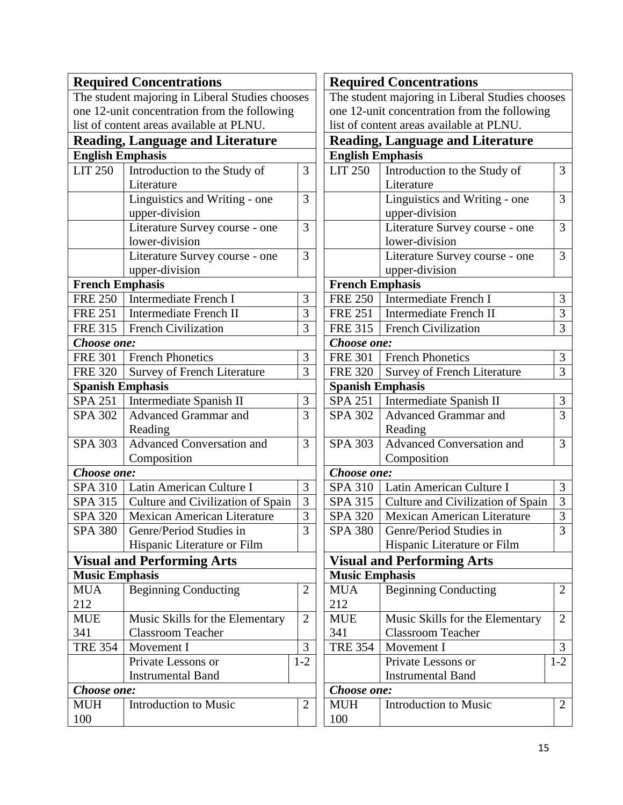|                         | <b>Required Concentrations</b>                  |                |                                           | <b>Required Concent</b>   |
|-------------------------|-------------------------------------------------|----------------|-------------------------------------------|---------------------------|
|                         | The student majoring in Liberal Studies chooses |                |                                           | The student majoring      |
|                         | one 12-unit concentration from the following    |                |                                           | one 12-unit concentrat    |
|                         | list of content areas available at PLNU.        |                |                                           | list of content areas av  |
|                         |                                                 |                |                                           |                           |
|                         | <b>Reading, Language and Literature</b>         |                |                                           | <b>Reading, Languag</b>   |
| <b>English Emphasis</b> |                                                 |                | <b>English Emphasis</b><br><b>LIT 250</b> |                           |
| <b>LIT 250</b>          | Introduction to the Study of<br>Literature      | 3              |                                           | Introductic<br>Literature |
|                         |                                                 | 3              |                                           | Linguistics               |
|                         | Linguistics and Writing - one                   |                |                                           |                           |
|                         | upper-division                                  | 3              |                                           | upper-divis<br>Literature |
|                         | Literature Survey course - one                  |                |                                           |                           |
|                         | lower-division                                  |                |                                           | lower-divis               |
|                         | Literature Survey course - one                  | 3              |                                           | Literature                |
|                         | upper-division                                  |                |                                           | upper-divis               |
| <b>French Emphasis</b>  |                                                 |                | <b>French Emphasis</b>                    |                           |
| <b>FRE 250</b>          | <b>Intermediate French I</b>                    | 3              | <b>FRE 250</b>                            | Intermedia                |
| <b>FRE 251</b>          | <b>Intermediate French II</b>                   | 3              | <b>FRE 251</b>                            | Intermedia                |
| <b>FRE 315</b>          | French Civilization                             | 3              | <b>FRE 315</b>                            | French Civ                |
| Choose one:             |                                                 |                | Choose one:                               |                           |
| <b>FRE 301</b>          | <b>French Phonetics</b>                         | 3              | <b>FRE 301</b>                            | French Pho                |
| <b>FRE 320</b>          | <b>Survey of French Literature</b>              | 3              | <b>FRE 320</b>                            | Survey of 1               |
| <b>Spanish Emphasis</b> |                                                 |                | <b>Spanish Emphasis</b>                   |                           |
| <b>SPA 251</b>          | Intermediate Spanish II                         | 3              | <b>SPA 251</b>                            | Intermedia                |
| <b>SPA 302</b>          | Advanced Grammar and                            | 3              | <b>SPA 302</b>                            | Advanced                  |
|                         | Reading                                         |                |                                           | Reading                   |
| <b>SPA 303</b>          | <b>Advanced Conversation and</b>                | 3              | <b>SPA 303</b>                            | Advanced                  |
|                         | Composition                                     |                |                                           | Compositio                |
| Choose one:             |                                                 |                | Choose one:                               |                           |
| <b>SPA 310</b>          | Latin American Culture I                        | 3              | SPA 310                                   | Latin Ame                 |
| SPA 315                 | Culture and Civilization of Spain               | 3              | SPA 315                                   | Culture and               |
| <b>SPA 320</b>          | Mexican American Literature                     | 3              | <b>SPA 320</b>                            | Mexican A                 |
|                         | SPA 380 Genre/Period Studies in                 | 3              | SPA 380                                   | Genre/Peri                |
|                         | Hispanic Literature or Film                     |                |                                           | Hispanic L                |
|                         | <b>Visual and Performing Arts</b>               |                |                                           | <b>Visual and Perforn</b> |
| <b>Music Emphasis</b>   |                                                 |                | <b>Music Emphasis</b>                     |                           |
| <b>MUA</b>              | <b>Beginning Conducting</b>                     | 2              | <b>MUA</b>                                | Beginning                 |
| 212                     |                                                 |                | 212                                       |                           |
| <b>MUE</b>              | Music Skills for the Elementary                 | $\overline{2}$ | <b>MUE</b>                                | Music Skil                |
| 341                     | <b>Classroom Teacher</b>                        |                | 341                                       | Classroom                 |
| <b>TRE 354</b>          | Movement I                                      | 3              | <b>TRE 354</b>                            | Movement                  |
|                         | Private Lessons or                              | $1-2$          |                                           | Private Les               |
|                         | <b>Instrumental Band</b>                        |                |                                           | Instrument                |
| Choose one:             |                                                 |                | Choose one:                               |                           |
| MUH                     | <b>Introduction to Music</b>                    | $\overline{2}$ | <b>MUH</b>                                | Introductic               |
| 100                     |                                                 |                | 100                                       |                           |
|                         |                                                 |                |                                           |                           |

|                                              | <b>Required Concentrations</b>                  |                |  |  |  |
|----------------------------------------------|-------------------------------------------------|----------------|--|--|--|
|                                              | The student majoring in Liberal Studies chooses |                |  |  |  |
| one 12-unit concentration from the following |                                                 |                |  |  |  |
|                                              | list of content areas available at PLNU.        |                |  |  |  |
|                                              | <b>Reading, Language and Literature</b>         |                |  |  |  |
| <b>English Emphasis</b>                      |                                                 |                |  |  |  |
| <b>LIT 250</b>                               | Introduction to the Study of                    | 3              |  |  |  |
|                                              | Literature                                      |                |  |  |  |
|                                              | Linguistics and Writing - one                   | 3              |  |  |  |
|                                              | upper-division                                  |                |  |  |  |
|                                              | Literature Survey course - one                  | 3              |  |  |  |
|                                              | lower-division                                  |                |  |  |  |
|                                              | Literature Survey course - one                  | 3              |  |  |  |
|                                              | upper-division                                  |                |  |  |  |
| <b>French Emphasis</b>                       |                                                 |                |  |  |  |
| <b>FRE 250</b>                               | <b>Intermediate French I</b>                    | 3              |  |  |  |
| <b>FRE 251</b>                               | Intermediate French II                          | 3              |  |  |  |
| <b>FRE 315</b>                               | <b>French Civilization</b>                      | 3              |  |  |  |
| Choose one:                                  |                                                 |                |  |  |  |
| <b>FRE 301</b>                               | <b>French Phonetics</b>                         | 3              |  |  |  |
| <b>FRE 320</b>                               | <b>Survey of French Literature</b>              | 3              |  |  |  |
| <b>Spanish Emphasis</b>                      |                                                 |                |  |  |  |
| <b>SPA 251</b>                               | Intermediate Spanish II                         | $\mathfrak{Z}$ |  |  |  |
| <b>SPA 302</b>                               | <b>Advanced Grammar and</b>                     | 3              |  |  |  |
|                                              | Reading                                         |                |  |  |  |
| <b>SPA 303</b>                               | <b>Advanced Conversation and</b>                | 3              |  |  |  |
|                                              | Composition                                     |                |  |  |  |
| Choose one:                                  |                                                 |                |  |  |  |
| <b>SPA 310</b>                               | Latin American Culture I                        | 3              |  |  |  |
| SPA 315                                      | Culture and Civilization of Spain               | 3              |  |  |  |
| <b>SPA 320</b>                               | <b>Mexican American Literature</b>              | 3              |  |  |  |
| SPA 380                                      | Genre/Period Studies in                         | 3              |  |  |  |
|                                              | Hispanic Literature or Film                     |                |  |  |  |
|                                              | <b>Visual and Performing Arts</b>               |                |  |  |  |
| <b>Music Emphasis</b>                        |                                                 |                |  |  |  |
| <b>MUA</b>                                   | <b>Beginning Conducting</b>                     | 2              |  |  |  |
| 212                                          |                                                 |                |  |  |  |
| <b>MUE</b>                                   | Music Skills for the Elementary                 | 2              |  |  |  |
| 341                                          | <b>Classroom Teacher</b>                        |                |  |  |  |
| <b>TRE 354</b>                               | Movement I                                      | 3              |  |  |  |
|                                              | Private Lessons or                              | $1 - 2$        |  |  |  |
|                                              | <b>Instrumental Band</b>                        |                |  |  |  |
| Choose one:                                  |                                                 |                |  |  |  |
| <b>MUH</b>                                   | <b>Introduction to Music</b>                    | 2              |  |  |  |
| 100                                          |                                                 |                |  |  |  |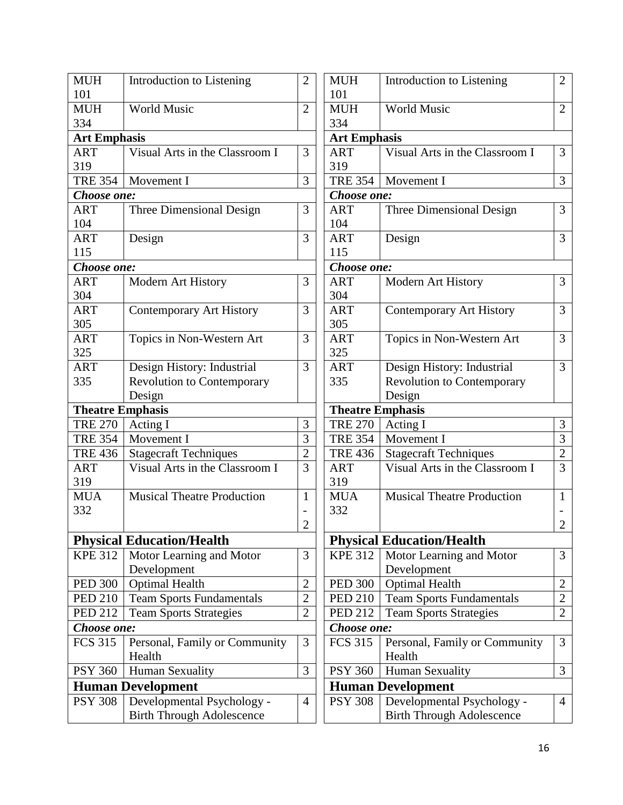| $\overline{2}$ |
|----------------|
|                |
|                |
| 3              |
|                |
| 3              |
|                |
| 3              |
|                |
| 3              |
|                |
|                |
| 3              |
|                |
| 3              |
|                |
| 3              |
|                |
| 3              |
|                |
|                |
|                |
| 3              |
| 3              |
| $\overline{c}$ |
| 3              |
|                |
| 1              |
|                |
| $\overline{c}$ |
|                |
| 3              |
|                |
| $\overline{c}$ |
| $\overline{c}$ |
| $\overline{2}$ |
|                |
| 3              |
|                |
| 3              |
|                |
|                |
| $\overline{4}$ |
|                |

| <b>MUH</b><br>101    | Introduction to Listening                                      | 2              |
|----------------------|----------------------------------------------------------------|----------------|
| <b>MUH</b>           | <b>World Music</b>                                             | $\overline{2}$ |
| 334                  |                                                                |                |
|                      |                                                                |                |
| <b>Art Emphasis</b>  |                                                                |                |
| <b>ART</b>           | Visual Arts in the Classroom I                                 | 3              |
| 319                  |                                                                |                |
| <b>TRE 354</b>       | Movement I                                                     | 3              |
| Choose one:          |                                                                |                |
| <b>ART</b>           | <b>Three Dimensional Design</b>                                | 3              |
| 104                  |                                                                |                |
| <b>ART</b>           | Design                                                         | 3              |
| 115                  |                                                                |                |
| Choose one:          |                                                                |                |
| <b>ART</b>           | Modern Art History                                             | 3              |
| 304                  |                                                                |                |
| <b>ART</b>           | <b>Contemporary Art History</b>                                | 3              |
| 305                  |                                                                |                |
| <b>ART</b>           | Topics in Non-Western Art                                      | 3              |
| 325                  |                                                                |                |
| <b>ART</b>           | Design History: Industrial                                     | 3              |
| 335                  | <b>Revolution to Contemporary</b>                              |                |
|                      | Design                                                         |                |
|                      | <b>Theatre Emphasis</b>                                        |                |
|                      |                                                                |                |
|                      |                                                                |                |
| <b>TRE 270</b>       | Acting I                                                       | 3              |
| <b>TRE 354</b>       | Movement I                                                     | 3              |
| <b>TRE 436</b>       | <b>Stagecraft Techniques</b>                                   | $\overline{2}$ |
| <b>ART</b><br>319    | Visual Arts in the Classroom I                                 | 3              |
| <b>MUA</b>           | <b>Musical Theatre Production</b>                              | 1              |
| 332                  |                                                                |                |
|                      |                                                                | $\overline{2}$ |
|                      |                                                                |                |
|                      | <b>Physical Education/Health</b>                               |                |
| <b>KPE 312</b>       | Motor Learning and Motor                                       | 3              |
|                      | Development                                                    |                |
| <b>PED 300</b>       | <b>Optimal Health</b>                                          | 2              |
| <b>PED 210</b>       | <b>Team Sports Fundamentals</b>                                | $\overline{c}$ |
| <b>PED 212</b>       | <b>Team Sports Strategies</b>                                  | $\overline{2}$ |
| Choose one:          |                                                                |                |
| FCS $31\overline{5}$ | Personal, Family or Community                                  | 3              |
|                      | Health                                                         |                |
| <b>PSY 360</b>       | Human Sexuality                                                | 3              |
|                      | <b>Human Development</b>                                       |                |
| <b>PSY 308</b>       | Developmental Psychology -<br><b>Birth Through Adolescence</b> | 4              |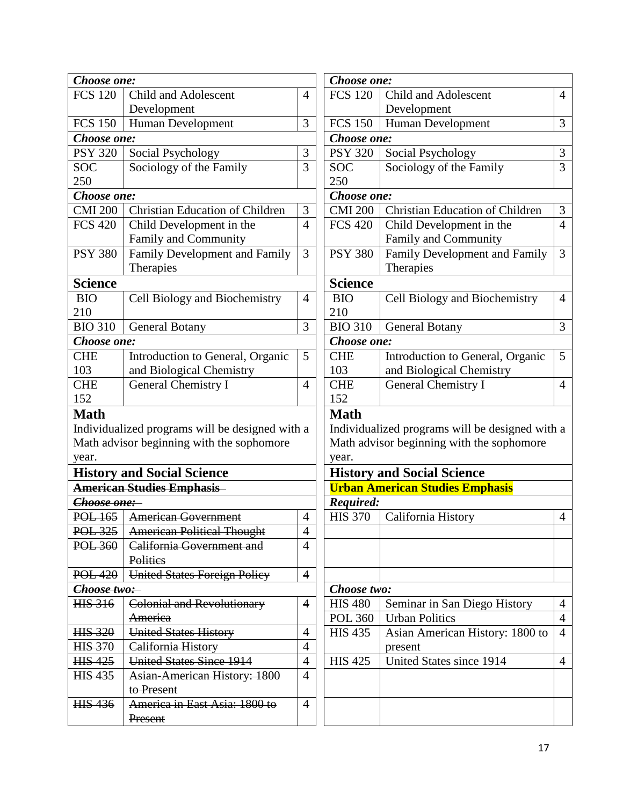| Choose one:          |                                                                                              |                |
|----------------------|----------------------------------------------------------------------------------------------|----------------|
| <b>FCS 120</b>       | <b>Child and Adolescent</b>                                                                  | 4              |
|                      | Development                                                                                  |                |
| <b>FCS 150</b>       | Human Development                                                                            | 3              |
| Choose one:          |                                                                                              |                |
| <b>PSY 320</b>       | Social Psychology                                                                            | 3              |
| <b>SOC</b>           | Sociology of the Family                                                                      | 3              |
| 250                  |                                                                                              |                |
| Choose one:          |                                                                                              |                |
| <b>CMI 200</b>       | <b>Christian Education of Children</b>                                                       | $\mathfrak{Z}$ |
| <b>FCS 420</b>       | Child Development in the                                                                     | 4              |
|                      | Family and Community                                                                         |                |
| <b>PSY 380</b>       | <b>Family Development and Family</b>                                                         | 3              |
|                      | Therapies                                                                                    |                |
| <b>Science</b>       |                                                                                              |                |
| <b>BIO</b>           | Cell Biology and Biochemistry                                                                | 4              |
| 210                  |                                                                                              |                |
| $BIO$ 310            | <b>General Botany</b>                                                                        | 3              |
| Choose one:          |                                                                                              |                |
| <b>CHE</b>           | Introduction to General, Organic                                                             | 5              |
| 103                  | and Biological Chemistry                                                                     |                |
| <b>CHE</b>           | <b>General Chemistry I</b>                                                                   | 4              |
| 152                  |                                                                                              |                |
| <b>Math</b><br>year. | Individualized programs will be designed with a<br>Math advisor beginning with the sophomore |                |
|                      | <b>History and Social Science</b>                                                            |                |
|                      | <b>American Studies Emphasis</b>                                                             |                |
| Choose one:          |                                                                                              |                |
| POL 165              | <b>American Government</b>                                                                   | 4              |
| POL 325              | <b>American Political Thought</b>                                                            | 4              |
| POL 360              | California Government and                                                                    | 4              |
|                      | <b>Politics</b>                                                                              |                |
|                      | POL 420   United States Foreign Policy                                                       | 4              |
| Choose two:          |                                                                                              |                |
| <b>HIS 316</b>       | <b>Colonial and Revolutionary</b>                                                            | 4              |
|                      | America                                                                                      |                |
| <b>HIS 320</b>       | <b>United States History</b>                                                                 | 4              |
| <b>HIS 370</b>       | California History                                                                           | 4              |
| <b>HIS 425</b>       | <b>United States Since 1914</b>                                                              | 4              |
| <b>HIS 435</b>       | <b>Asian-American History: 1800</b>                                                          | 4              |
|                      | to Present                                                                                   |                |
| HIS 436              | America in East Asia: 1800 to                                                                | 4              |
|                      | Present                                                                                      |                |

| Choose one:          |                                                                                              |                |  |
|----------------------|----------------------------------------------------------------------------------------------|----------------|--|
| <b>FCS 120</b>       | <b>Child and Adolescent</b>                                                                  |                |  |
|                      | Development                                                                                  |                |  |
| <b>FCS 150</b>       | <b>Human Development</b>                                                                     |                |  |
| Choose one:          |                                                                                              |                |  |
| <b>PSY 320</b>       | Social Psychology                                                                            |                |  |
| <b>SOC</b>           | Sociology of the Family                                                                      |                |  |
| 250                  |                                                                                              |                |  |
| Choose one:          |                                                                                              |                |  |
| <b>CMI 200</b>       | <b>Christian Education of Children</b>                                                       | 3              |  |
| <b>FCS 420</b>       | Child Development in the                                                                     | 4              |  |
|                      | Family and Community                                                                         |                |  |
| <b>PSY 380</b>       | <b>Family Development and Family</b>                                                         | 3              |  |
|                      | Therapies                                                                                    |                |  |
| <b>Science</b>       |                                                                                              |                |  |
| <b>BIO</b>           | Cell Biology and Biochemistry                                                                | 4              |  |
| 210                  |                                                                                              |                |  |
| <b>BIO 310</b>       | <b>General Botany</b>                                                                        | 3              |  |
| Choose one:          |                                                                                              |                |  |
| <b>CHE</b>           | Introduction to General, Organic                                                             | 5              |  |
| 103                  | and Biological Chemistry                                                                     |                |  |
| <b>CHE</b>           | <b>General Chemistry I</b>                                                                   | 4              |  |
| 152                  |                                                                                              |                |  |
| <b>Math</b><br>year. | Individualized programs will be designed with a<br>Math advisor beginning with the sophomore |                |  |
|                      | <b>History and Social Science</b>                                                            |                |  |
|                      | <b>Urban American Studies Emphasis</b>                                                       |                |  |
| Required:            |                                                                                              |                |  |
| <b>HIS 370</b>       | California History                                                                           | 4              |  |
|                      |                                                                                              |                |  |
|                      |                                                                                              |                |  |
|                      |                                                                                              |                |  |
|                      |                                                                                              |                |  |
| Choose two:          |                                                                                              |                |  |
| <b>HIS 480</b>       | Seminar in San Diego History                                                                 | 4              |  |
| <b>POL 360</b>       | <b>Urban Politics</b>                                                                        | $\overline{4}$ |  |
| <b>HIS 435</b>       | Asian American History: 1800 to                                                              | $\overline{4}$ |  |
|                      | present                                                                                      |                |  |
| <b>HIS 425</b>       | United States since 1914                                                                     | 4              |  |
|                      |                                                                                              |                |  |
|                      |                                                                                              |                |  |
|                      |                                                                                              |                |  |
|                      |                                                                                              |                |  |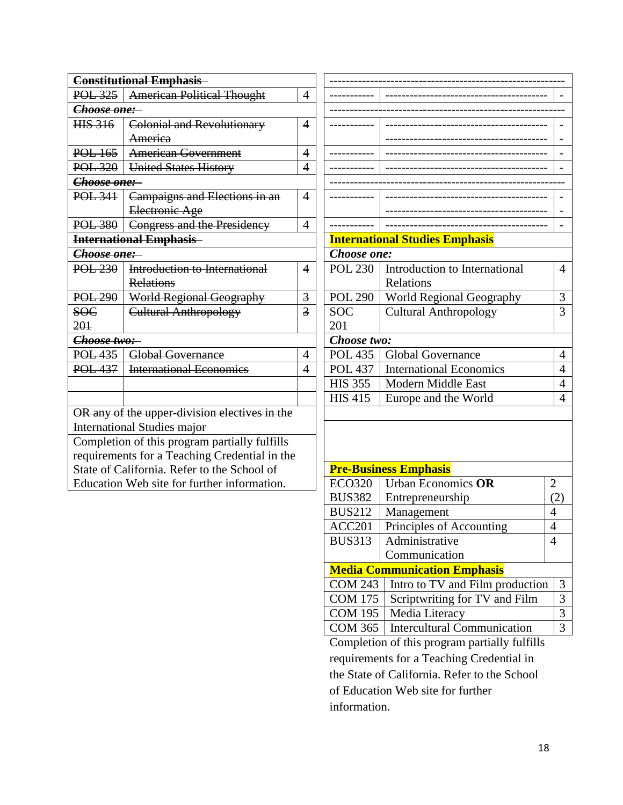| <b>Constitutional Emphasis</b>                |                                   |                         |  |
|-----------------------------------------------|-----------------------------------|-------------------------|--|
| $POL-325$                                     | <b>American Political Thought</b> | 4                       |  |
| Choose one:                                   |                                   |                         |  |
| <del>HIS 316</del>                            | <b>Colonial and Revolutionary</b> |                         |  |
|                                               | America                           |                         |  |
| $POL$ 165                                     | <b>American Government</b>        |                         |  |
| POL 320                                       | <b>United States History</b>      |                         |  |
| <del>Choose one:</del>                        |                                   |                         |  |
| <b>POL 341</b>                                | Campaigns and Elections in an     | 4                       |  |
|                                               | Electronic Age                    |                         |  |
| <b>POL 380</b>                                | Congress and the Presidency       | 4                       |  |
|                                               | <b>International Emphasis</b>     |                         |  |
| <del>Choose one:-</del>                       |                                   |                         |  |
| <b>POL 230</b>                                | Introduction to International     | 4                       |  |
|                                               | <b>Relations</b>                  |                         |  |
| <b>POL 290</b>                                | World Regional Geography          | $\overline{\mathbf{3}}$ |  |
| <b>SOC</b>                                    | <b>Cultural Anthropology</b>      | 3                       |  |
| 201                                           |                                   |                         |  |
| Choose two:                                   |                                   |                         |  |
| <b>POL 435</b>                                | <b>Global Governance</b>          | 4                       |  |
| <b>POL 437</b>                                | <b>International Economics</b>    | 4                       |  |
|                                               |                                   |                         |  |
|                                               |                                   |                         |  |
| OR any of the upper-division electives in the |                                   |                         |  |
| <b>International Studies major</b>            |                                   |                         |  |
| Completion of this program partially fulfills |                                   |                         |  |
| requirements for a Teaching Credential in the |                                   |                         |  |
| State of California. Refer to the School of   |                                   |                         |  |
| Education Web site for further information.   |                                   |                         |  |

|                    | <b>International Studies Emphasis</b> |   |  |
|--------------------|---------------------------------------|---|--|
| <i>Choose one:</i> |                                       |   |  |
|                    |                                       |   |  |
| <b>POL 230</b>     | Introduction to International         | 4 |  |
|                    | Relations                             |   |  |
| <b>POL 290</b>     | World Regional Geography              | 3 |  |
| SOC                | <b>Cultural Anthropology</b>          | 3 |  |
| 201                |                                       |   |  |
| Choose two:        |                                       |   |  |
| <b>POL 435</b>     | <b>Global Governance</b>              | 4 |  |
| <b>POL 437</b>     | <b>International Economics</b>        | 4 |  |
| <b>HIS 355</b>     | Modern Middle East                    | 4 |  |
| <b>HIS 415</b>     | Europe and the World                  | 4 |  |
|                    |                                       |   |  |

| <b>Pre-Business Emphasis</b>                         |                                             |   |  |  |
|------------------------------------------------------|---------------------------------------------|---|--|--|
| <b>ECO320</b>                                        | Urban Economics OR<br>$\mathcal{D}_{\cdot}$ |   |  |  |
| <b>BUS382</b>                                        | Entrepreneurship                            |   |  |  |
| <b>BUS212</b>                                        | Management<br>4                             |   |  |  |
| <b>ACC201</b>                                        | Principles of Accounting<br>4               |   |  |  |
| <b>BUS313</b>                                        | Administrative<br>4                         |   |  |  |
|                                                      | Communication                               |   |  |  |
| <b>Media Communication Emphasis</b>                  |                                             |   |  |  |
| <b>COM 243</b>                                       | Intro to TV and Film production             |   |  |  |
| <b>COM 175</b>                                       | Scriptwriting for TV and Film               |   |  |  |
| <b>COM 195</b>                                       | Media Literacy                              |   |  |  |
| <b>Intercultural Communication</b><br><b>COM 365</b> |                                             | 3 |  |  |
| Completion of this program partially fulfills        |                                             |   |  |  |

Completion of this program partially fulfills requirements for a Teaching Credential in the State of California. Refer to the School of Education Web site for further information.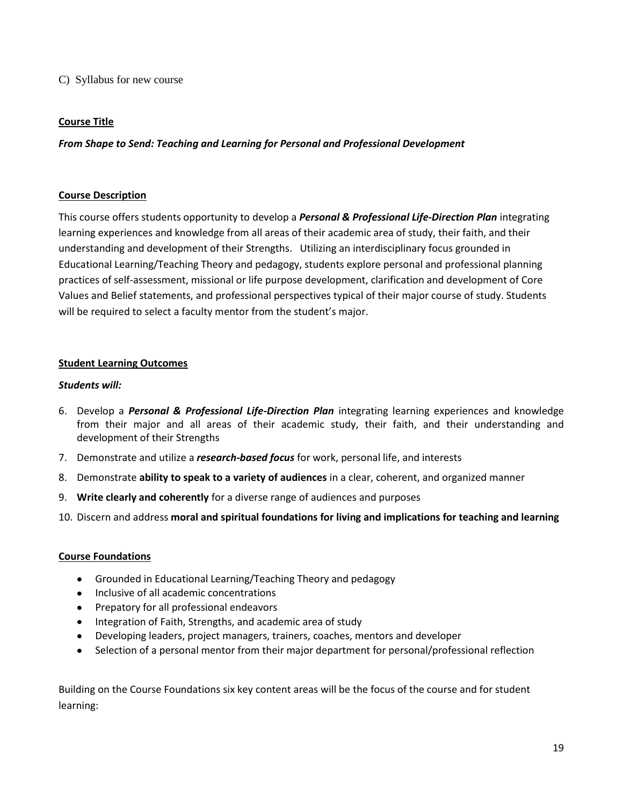### C) Syllabus for new course

# **Course Title**

*From Shape to Send: Teaching and Learning for Personal and Professional Development*

# **Course Description**

This course offers students opportunity to develop a *Personal & Professional Life-Direction Plan* integrating learning experiences and knowledge from all areas of their academic area of study, their faith, and their understanding and development of their Strengths. Utilizing an interdisciplinary focus grounded in Educational Learning/Teaching Theory and pedagogy, students explore personal and professional planning practices of self-assessment, missional or life purpose development, clarification and development of Core Values and Belief statements, and professional perspectives typical of their major course of study. Students will be required to select a faculty mentor from the student's major.

# **Student Learning Outcomes**

# *Students will:*

- 6. Develop a *Personal & Professional Life-Direction Plan* integrating learning experiences and knowledge from their major and all areas of their academic study, their faith, and their understanding and development of their Strengths
- 7. Demonstrate and utilize a *research-based focus* for work, personal life, and interests
- 8. Demonstrate **ability to speak to a variety of audiences** in a clear, coherent, and organized manner
- 9. **Write clearly and coherently** for a diverse range of audiences and purposes
- 10. Discern and address **moral and spiritual foundations for living and implications for teaching and learning**

### **Course Foundations**

- Grounded in Educational Learning/Teaching Theory and pedagogy
- Inclusive of all academic concentrations
- Prepatory for all professional endeavors
- Integration of Faith, Strengths, and academic area of study
- Developing leaders, project managers, trainers, coaches, mentors and developer
- Selection of a personal mentor from their major department for personal/professional reflection

Building on the Course Foundations six key content areas will be the focus of the course and for student learning: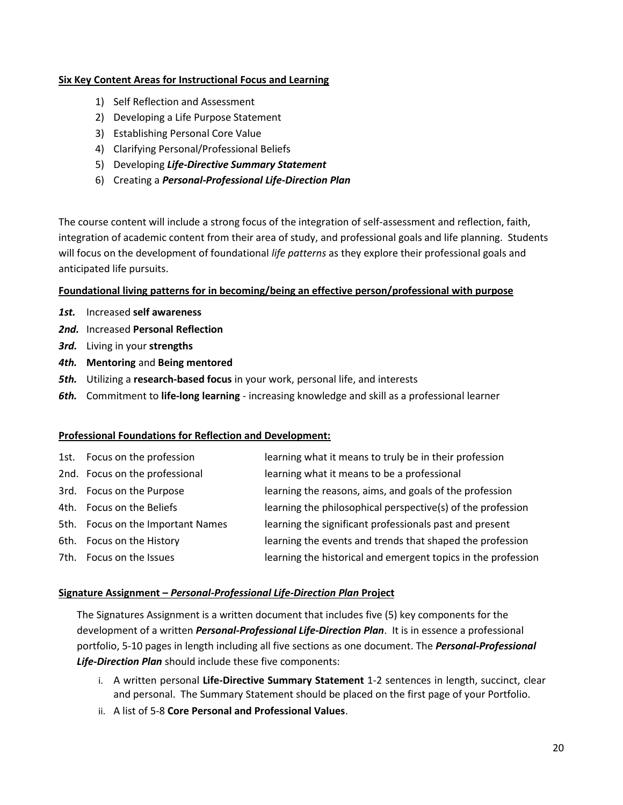# **Six Key Content Areas for Instructional Focus and Learning**

- 1) Self Reflection and Assessment
- 2) Developing a Life Purpose Statement
- 3) Establishing Personal Core Value
- 4) Clarifying Personal/Professional Beliefs
- 5) Developing *Life-Directive Summary Statement*
- 6) Creating a *Personal-Professional Life-Direction Plan*

The course content will include a strong focus of the integration of self-assessment and reflection, faith, integration of academic content from their area of study, and professional goals and life planning. Students will focus on the development of foundational *life patterns* as they explore their professional goals and anticipated life pursuits.

### **Foundational living patterns for in becoming/being an effective person/professional with purpose**

- *1st.* Increased **self awareness**
- *2nd.* Increased **Personal Reflection**
- *3rd.* Living in your **strengths**
- *4th.* **Mentoring** and **Being mentored**
- *5th.* Utilizing a **research-based focus** in your work, personal life, and interests
- *6th.* Commitment to **life-long learning** increasing knowledge and skill as a professional learner

### **Professional Foundations for Reflection and Development:**

| 1st. Focus on the profession      | learning what it means to truly be in their profession        |
|-----------------------------------|---------------------------------------------------------------|
| 2nd. Focus on the professional    | learning what it means to be a professional                   |
| 3rd. Focus on the Purpose         | learning the reasons, aims, and goals of the profession       |
| 4th. Focus on the Beliefs         | learning the philosophical perspective(s) of the profession   |
| 5th. Focus on the Important Names | learning the significant professionals past and present       |
| 6th. Focus on the History         | learning the events and trends that shaped the profession     |
| 7th. Focus on the Issues          | learning the historical and emergent topics in the profession |

### **Signature Assignment –** *Personal-Professional Life-Direction Plan* **Project**

The Signatures Assignment is a written document that includes five (5) key components for the development of a written *Personal-Professional Life-Direction Plan*. It is in essence a professional portfolio, 5-10 pages in length including all five sections as one document. The *Personal-Professional Life-Direction Plan* should include these five components:

- i. A written personal **Life-Directive Summary Statement** 1-2 sentences in length, succinct, clear and personal. The Summary Statement should be placed on the first page of your Portfolio.
- ii. A list of 5-8 **Core Personal and Professional Values**.